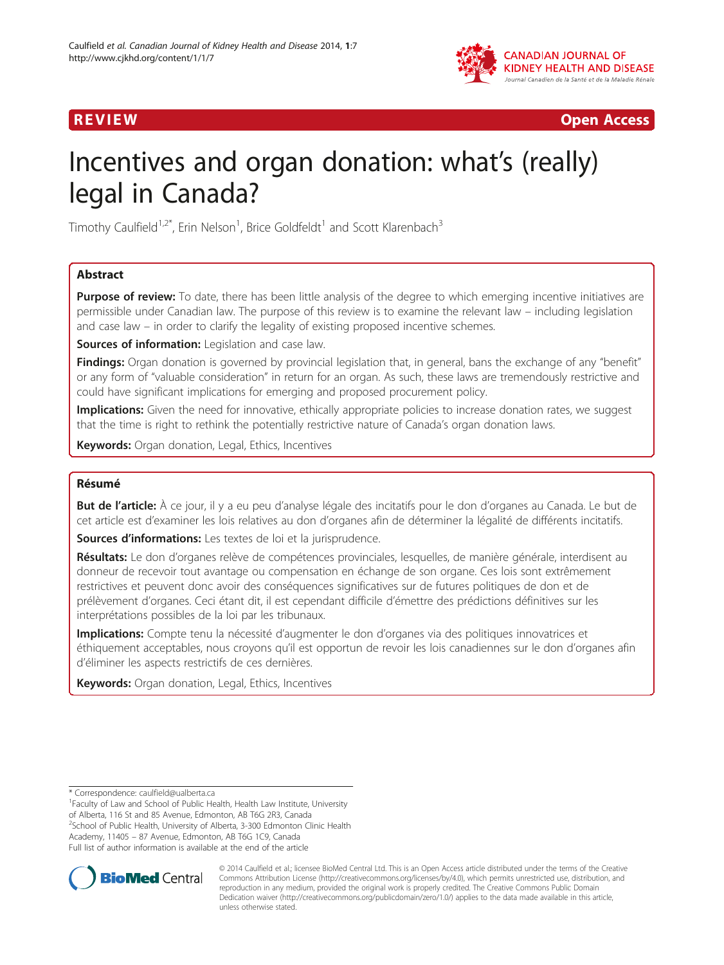

R EVI EW Open Access

# Incentives and organ donation: what's (really) legal in Canada?

Timothy Caulfield<sup>1,2\*</sup>, Erin Nelson<sup>1</sup>, Brice Goldfeldt<sup>1</sup> and Scott Klarenbach<sup>3</sup>

# Abstract

Purpose of review: To date, there has been little analysis of the degree to which emerging incentive initiatives are permissible under Canadian law. The purpose of this review is to examine the relevant law – including legislation and case law – in order to clarify the legality of existing proposed incentive schemes.

Sources of information: Legislation and case law.

Findings: Organ donation is governed by provincial legislation that, in general, bans the exchange of any "benefit" or any form of "valuable consideration" in return for an organ. As such, these laws are tremendously restrictive and could have significant implications for emerging and proposed procurement policy.

Implications: Given the need for innovative, ethically appropriate policies to increase donation rates, we suggest that the time is right to rethink the potentially restrictive nature of Canada's organ donation laws.

Keywords: Organ donation, Legal, Ethics, Incentives

# Résumé

But de l'article: À ce jour, il y a eu peu d'analyse légale des incitatifs pour le don d'organes au Canada. Le but de cet article est d'examiner les lois relatives au don d'organes afin de déterminer la légalité de différents incitatifs.

Sources d'informations: Les textes de loi et la jurisprudence.

Résultats: Le don d'organes relève de compétences provinciales, lesquelles, de manière générale, interdisent au donneur de recevoir tout avantage ou compensation en échange de son organe. Ces lois sont extrêmement restrictives et peuvent donc avoir des conséquences significatives sur de futures politiques de don et de prélèvement d'organes. Ceci étant dit, il est cependant difficile d'émettre des prédictions définitives sur les interprétations possibles de la loi par les tribunaux.

Implications: Compte tenu la nécessité d'augmenter le don d'organes via des politiques innovatrices et éthiquement acceptables, nous croyons qu'il est opportun de revoir les lois canadiennes sur le don d'organes afin d'éliminer les aspects restrictifs de ces dernières.

Keywords: Organ donation, Legal, Ethics, Incentives

\* Correspondence: [caulfield@ualberta.ca](mailto:caulfield@ualberta.ca) <sup>1</sup>

<sup>1</sup> Faculty of Law and School of Public Health, Health Law Institute, University of Alberta, 116 St and 85 Avenue, Edmonton, AB T6G 2R3, Canada <sup>2</sup>School of Public Health, University of Alberta, 3-300 Edmonton Clinic Health Academy, 11405 – 87 Avenue, Edmonton, AB T6G 1C9, Canada Full list of author information is available at the end of the article



© 2014 Caulfield et al.; licensee BioMed Central Ltd. This is an Open Access article distributed under the terms of the Creative Commons Attribution License [\(http://creativecommons.org/licenses/by/4.0\)](http://creativecommons.org/licenses/by/4.0), which permits unrestricted use, distribution, and reproduction in any medium, provided the original work is properly credited. The Creative Commons Public Domain Dedication waiver [\(http://creativecommons.org/publicdomain/zero/1.0/](http://creativecommons.org/publicdomain/zero/1.0/)) applies to the data made available in this article, unless otherwise stated.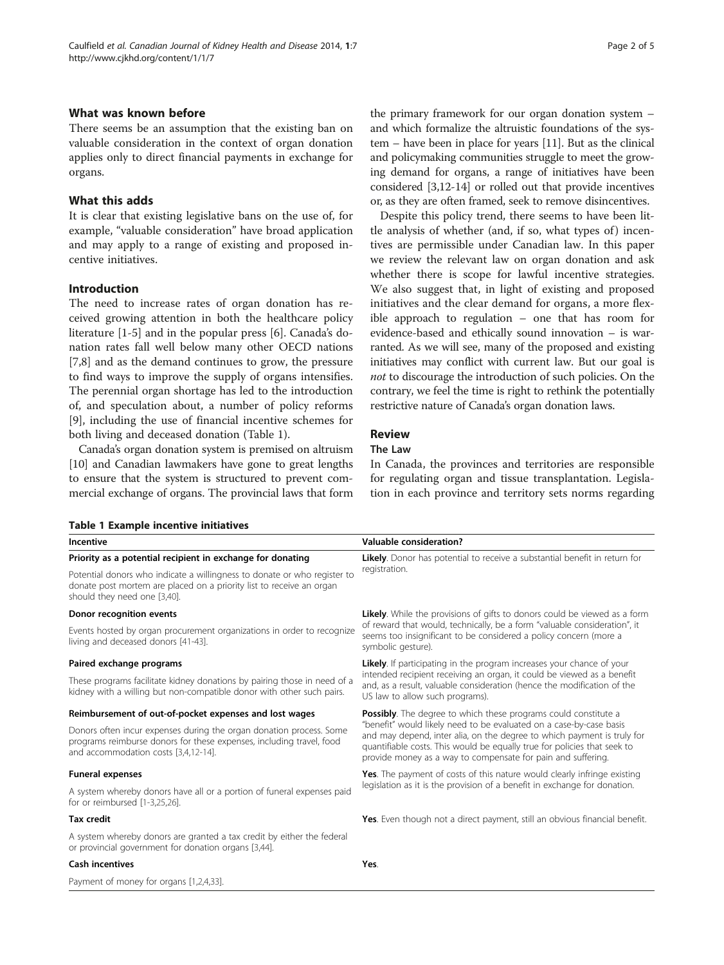# <span id="page-1-0"></span>What was known before

There seems be an assumption that the existing ban on valuable consideration in the context of organ donation applies only to direct financial payments in exchange for organs.

# What this adds

It is clear that existing legislative bans on the use of, for example, "valuable consideration" have broad application and may apply to a range of existing and proposed incentive initiatives.

# Introduction

The need to increase rates of organ donation has received growing attention in both the healthcare policy literature [\[1-5](#page-4-0)] and in the popular press [\[6](#page-4-0)]. Canada's donation rates fall well below many other OECD nations [[7,8\]](#page-4-0) and as the demand continues to grow, the pressure to find ways to improve the supply of organs intensifies. The perennial organ shortage has led to the introduction of, and speculation about, a number of policy reforms [[9\]](#page-4-0), including the use of financial incentive schemes for both living and deceased donation (Table 1).

Canada's organ donation system is premised on altruism [[10](#page-4-0)] and Canadian lawmakers have gone to great lengths to ensure that the system is structured to prevent commercial exchange of organs. The provincial laws that form

Table 1 Example incentive initiatives

the primary framework for our organ donation system – and which formalize the altruistic foundations of the system – have been in place for years [\[11\]](#page-4-0). But as the clinical and policymaking communities struggle to meet the growing demand for organs, a range of initiatives have been considered [[3,12](#page-4-0)-[14](#page-4-0)] or rolled out that provide incentives or, as they are often framed, seek to remove disincentives.

Despite this policy trend, there seems to have been little analysis of whether (and, if so, what types of) incentives are permissible under Canadian law. In this paper we review the relevant law on organ donation and ask whether there is scope for lawful incentive strategies. We also suggest that, in light of existing and proposed initiatives and the clear demand for organs, a more flexible approach to regulation – one that has room for evidence-based and ethically sound innovation – is warranted. As we will see, many of the proposed and existing initiatives may conflict with current law. But our goal is not to discourage the introduction of such policies. On the contrary, we feel the time is right to rethink the potentially restrictive nature of Canada's organ donation laws.

# Review

## The Law

In Canada, the provinces and territories are responsible for regulating organ and tissue transplantation. Legislation in each province and territory sets norms regarding

| Incentive                                                                                                                                                                           | Valuable consideration?                                                                                                                                                                                                                                                                                                                                              |
|-------------------------------------------------------------------------------------------------------------------------------------------------------------------------------------|----------------------------------------------------------------------------------------------------------------------------------------------------------------------------------------------------------------------------------------------------------------------------------------------------------------------------------------------------------------------|
| Priority as a potential recipient in exchange for donating                                                                                                                          | <b>Likely.</b> Donor has potential to receive a substantial benefit in return for<br>registration.                                                                                                                                                                                                                                                                   |
| Potential donors who indicate a willingness to donate or who register to<br>donate post mortem are placed on a priority list to receive an organ<br>should they need one [3,40].    |                                                                                                                                                                                                                                                                                                                                                                      |
| <b>Donor recognition events</b>                                                                                                                                                     | <b>Likely</b> . While the provisions of gifts to donors could be viewed as a form<br>of reward that would, technically, be a form "valuable consideration", it<br>seems too insignificant to be considered a policy concern (more a<br>symbolic gesture).                                                                                                            |
| Events hosted by organ procurement organizations in order to recognize<br>living and deceased donors [41-43].                                                                       |                                                                                                                                                                                                                                                                                                                                                                      |
| Paired exchange programs                                                                                                                                                            | <b>Likely</b> . If participating in the program increases your chance of your<br>intended recipient receiving an organ, it could be viewed as a benefit<br>and, as a result, valuable consideration (hence the modification of the<br>US law to allow such programs).                                                                                                |
| These programs facilitate kidney donations by pairing those in need of a<br>kidney with a willing but non-compatible donor with other such pairs.                                   |                                                                                                                                                                                                                                                                                                                                                                      |
| Reimbursement of out-of-pocket expenses and lost wages                                                                                                                              | <b>Possibly.</b> The degree to which these programs could constitute a<br>"benefit" would likely need to be evaluated on a case-by-case basis<br>and may depend, inter alia, on the degree to which payment is truly for<br>quantifiable costs. This would be equally true for policies that seek to<br>provide money as a way to compensate for pain and suffering. |
| Donors often incur expenses during the organ donation process. Some<br>programs reimburse donors for these expenses, including travel, food<br>and accommodation costs [3,4,12-14]. |                                                                                                                                                                                                                                                                                                                                                                      |
| <b>Funeral expenses</b>                                                                                                                                                             | Yes. The payment of costs of this nature would clearly infringe existing<br>legislation as it is the provision of a benefit in exchange for donation.                                                                                                                                                                                                                |
| A system whereby donors have all or a portion of funeral expenses paid<br>for or reimbursed [1-3,25,26].                                                                            |                                                                                                                                                                                                                                                                                                                                                                      |
| Tax credit                                                                                                                                                                          | Yes. Even though not a direct payment, still an obvious financial benefit.                                                                                                                                                                                                                                                                                           |
| A system whereby donors are granted a tax credit by either the federal<br>or provincial government for donation organs [3,44].                                                      |                                                                                                                                                                                                                                                                                                                                                                      |
| Cash incentives                                                                                                                                                                     | Yes.                                                                                                                                                                                                                                                                                                                                                                 |
| Payment of money for organs [1,2,4,33].                                                                                                                                             |                                                                                                                                                                                                                                                                                                                                                                      |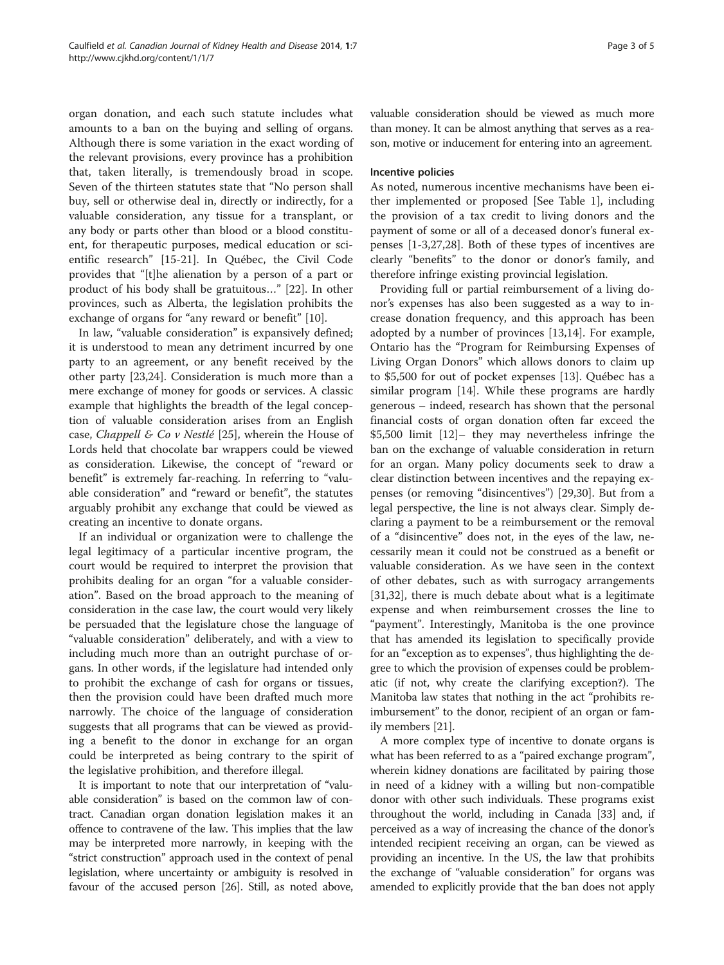organ donation, and each such statute includes what amounts to a ban on the buying and selling of organs. Although there is some variation in the exact wording of the relevant provisions, every province has a prohibition that, taken literally, is tremendously broad in scope. Seven of the thirteen statutes state that "No person shall buy, sell or otherwise deal in, directly or indirectly, for a valuable consideration, any tissue for a transplant, or any body or parts other than blood or a blood constituent, for therapeutic purposes, medical education or scientific research" [\[15](#page-4-0)-[21\]](#page-4-0). In Québec, the Civil Code provides that "[t]he alienation by a person of a part or product of his body shall be gratuitous…" [[22\]](#page-4-0). In other provinces, such as Alberta, the legislation prohibits the exchange of organs for "any reward or benefit" [\[10\]](#page-4-0).

In law, "valuable consideration" is expansively defined; it is understood to mean any detriment incurred by one party to an agreement, or any benefit received by the other party [[23,24\]](#page-4-0). Consideration is much more than a mere exchange of money for goods or services. A classic example that highlights the breadth of the legal conception of valuable consideration arises from an English case, Chappell & Co v Nestlé [[25](#page-4-0)], wherein the House of Lords held that chocolate bar wrappers could be viewed as consideration. Likewise, the concept of "reward or benefit" is extremely far-reaching. In referring to "valuable consideration" and "reward or benefit", the statutes arguably prohibit any exchange that could be viewed as creating an incentive to donate organs.

If an individual or organization were to challenge the legal legitimacy of a particular incentive program, the court would be required to interpret the provision that prohibits dealing for an organ "for a valuable consideration". Based on the broad approach to the meaning of consideration in the case law, the court would very likely be persuaded that the legislature chose the language of "valuable consideration" deliberately, and with a view to including much more than an outright purchase of organs. In other words, if the legislature had intended only to prohibit the exchange of cash for organs or tissues, then the provision could have been drafted much more narrowly. The choice of the language of consideration suggests that all programs that can be viewed as providing a benefit to the donor in exchange for an organ could be interpreted as being contrary to the spirit of the legislative prohibition, and therefore illegal.

It is important to note that our interpretation of "valuable consideration" is based on the common law of contract. Canadian organ donation legislation makes it an offence to contravene of the law. This implies that the law may be interpreted more narrowly, in keeping with the "strict construction" approach used in the context of penal legislation, where uncertainty or ambiguity is resolved in favour of the accused person [\[26\]](#page-4-0). Still, as noted above, valuable consideration should be viewed as much more than money. It can be almost anything that serves as a reason, motive or inducement for entering into an agreement.

#### Incentive policies

As noted, numerous incentive mechanisms have been either implemented or proposed [See Table [1\]](#page-1-0), including the provision of a tax credit to living donors and the payment of some or all of a deceased donor's funeral expenses [[1-3,27,28](#page-4-0)]. Both of these types of incentives are clearly "benefits" to the donor or donor's family, and therefore infringe existing provincial legislation.

Providing full or partial reimbursement of a living donor's expenses has also been suggested as a way to increase donation frequency, and this approach has been adopted by a number of provinces [[13,14](#page-4-0)]. For example, Ontario has the "Program for Reimbursing Expenses of Living Organ Donors" which allows donors to claim up to \$5,500 for out of pocket expenses [[13](#page-4-0)]. Québec has a similar program [\[14](#page-4-0)]. While these programs are hardly generous – indeed, research has shown that the personal financial costs of organ donation often far exceed the \$5,500 limit [\[12](#page-4-0)]– they may nevertheless infringe the ban on the exchange of valuable consideration in return for an organ. Many policy documents seek to draw a clear distinction between incentives and the repaying expenses (or removing "disincentives") [\[29,30\]](#page-4-0). But from a legal perspective, the line is not always clear. Simply declaring a payment to be a reimbursement or the removal of a "disincentive" does not, in the eyes of the law, necessarily mean it could not be construed as a benefit or valuable consideration. As we have seen in the context of other debates, such as with surrogacy arrangements [[31,32\]](#page-4-0), there is much debate about what is a legitimate expense and when reimbursement crosses the line to "payment". Interestingly, Manitoba is the one province that has amended its legislation to specifically provide for an "exception as to expenses", thus highlighting the degree to which the provision of expenses could be problematic (if not, why create the clarifying exception?). The Manitoba law states that nothing in the act "prohibits reimbursement" to the donor, recipient of an organ or family members [\[21](#page-4-0)].

A more complex type of incentive to donate organs is what has been referred to as a "paired exchange program", wherein kidney donations are facilitated by pairing those in need of a kidney with a willing but non-compatible donor with other such individuals. These programs exist throughout the world, including in Canada [\[33\]](#page-4-0) and, if perceived as a way of increasing the chance of the donor's intended recipient receiving an organ, can be viewed as providing an incentive. In the US, the law that prohibits the exchange of "valuable consideration" for organs was amended to explicitly provide that the ban does not apply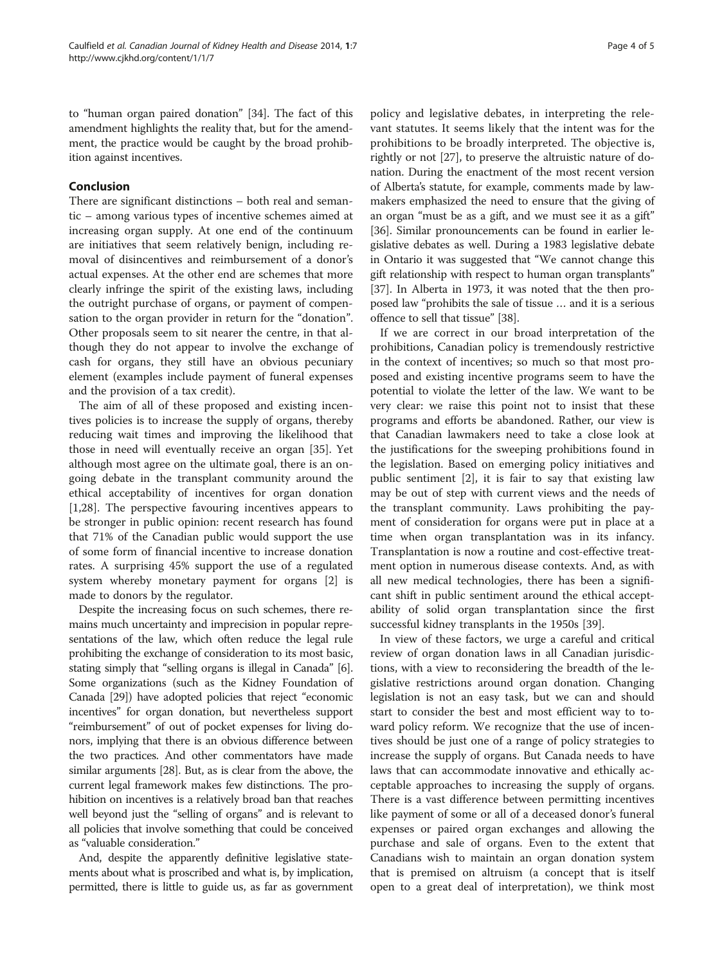to "human organ paired donation" [[34](#page-4-0)]. The fact of this amendment highlights the reality that, but for the amendment, the practice would be caught by the broad prohibition against incentives.

# Conclusion

There are significant distinctions – both real and semantic – among various types of incentive schemes aimed at increasing organ supply. At one end of the continuum are initiatives that seem relatively benign, including removal of disincentives and reimbursement of a donor's actual expenses. At the other end are schemes that more clearly infringe the spirit of the existing laws, including the outright purchase of organs, or payment of compensation to the organ provider in return for the "donation". Other proposals seem to sit nearer the centre, in that although they do not appear to involve the exchange of cash for organs, they still have an obvious pecuniary element (examples include payment of funeral expenses and the provision of a tax credit).

The aim of all of these proposed and existing incentives policies is to increase the supply of organs, thereby reducing wait times and improving the likelihood that those in need will eventually receive an organ [[35\]](#page-4-0). Yet although most agree on the ultimate goal, there is an ongoing debate in the transplant community around the ethical acceptability of incentives for organ donation [[1,28\]](#page-4-0). The perspective favouring incentives appears to be stronger in public opinion: recent research has found that 71% of the Canadian public would support the use of some form of financial incentive to increase donation rates. A surprising 45% support the use of a regulated system whereby monetary payment for organs [\[2](#page-4-0)] is made to donors by the regulator.

Despite the increasing focus on such schemes, there remains much uncertainty and imprecision in popular representations of the law, which often reduce the legal rule prohibiting the exchange of consideration to its most basic, stating simply that "selling organs is illegal in Canada" [[6](#page-4-0)]. Some organizations (such as the Kidney Foundation of Canada [\[29\]](#page-4-0)) have adopted policies that reject "economic incentives" for organ donation, but nevertheless support "reimbursement" of out of pocket expenses for living donors, implying that there is an obvious difference between the two practices. And other commentators have made similar arguments [\[28\]](#page-4-0). But, as is clear from the above, the current legal framework makes few distinctions. The prohibition on incentives is a relatively broad ban that reaches well beyond just the "selling of organs" and is relevant to all policies that involve something that could be conceived as "valuable consideration."

And, despite the apparently definitive legislative statements about what is proscribed and what is, by implication, permitted, there is little to guide us, as far as government

policy and legislative debates, in interpreting the relevant statutes. It seems likely that the intent was for the prohibitions to be broadly interpreted. The objective is, rightly or not [\[27\]](#page-4-0), to preserve the altruistic nature of donation. During the enactment of the most recent version of Alberta's statute, for example, comments made by lawmakers emphasized the need to ensure that the giving of an organ "must be as a gift, and we must see it as a gift" [[36](#page-4-0)]. Similar pronouncements can be found in earlier legislative debates as well. During a 1983 legislative debate in Ontario it was suggested that "We cannot change this gift relationship with respect to human organ transplants" [[37](#page-4-0)]. In Alberta in 1973, it was noted that the then proposed law "prohibits the sale of tissue … and it is a serious offence to sell that tissue" [[38](#page-4-0)].

If we are correct in our broad interpretation of the prohibitions, Canadian policy is tremendously restrictive in the context of incentives; so much so that most proposed and existing incentive programs seem to have the potential to violate the letter of the law. We want to be very clear: we raise this point not to insist that these programs and efforts be abandoned. Rather, our view is that Canadian lawmakers need to take a close look at the justifications for the sweeping prohibitions found in the legislation. Based on emerging policy initiatives and public sentiment [[2\]](#page-4-0), it is fair to say that existing law may be out of step with current views and the needs of the transplant community. Laws prohibiting the payment of consideration for organs were put in place at a time when organ transplantation was in its infancy. Transplantation is now a routine and cost-effective treatment option in numerous disease contexts. And, as with all new medical technologies, there has been a significant shift in public sentiment around the ethical acceptability of solid organ transplantation since the first successful kidney transplants in the 1950s [\[39](#page-4-0)].

In view of these factors, we urge a careful and critical review of organ donation laws in all Canadian jurisdictions, with a view to reconsidering the breadth of the legislative restrictions around organ donation. Changing legislation is not an easy task, but we can and should start to consider the best and most efficient way to toward policy reform. We recognize that the use of incentives should be just one of a range of policy strategies to increase the supply of organs. But Canada needs to have laws that can accommodate innovative and ethically acceptable approaches to increasing the supply of organs. There is a vast difference between permitting incentives like payment of some or all of a deceased donor's funeral expenses or paired organ exchanges and allowing the purchase and sale of organs. Even to the extent that Canadians wish to maintain an organ donation system that is premised on altruism (a concept that is itself open to a great deal of interpretation), we think most